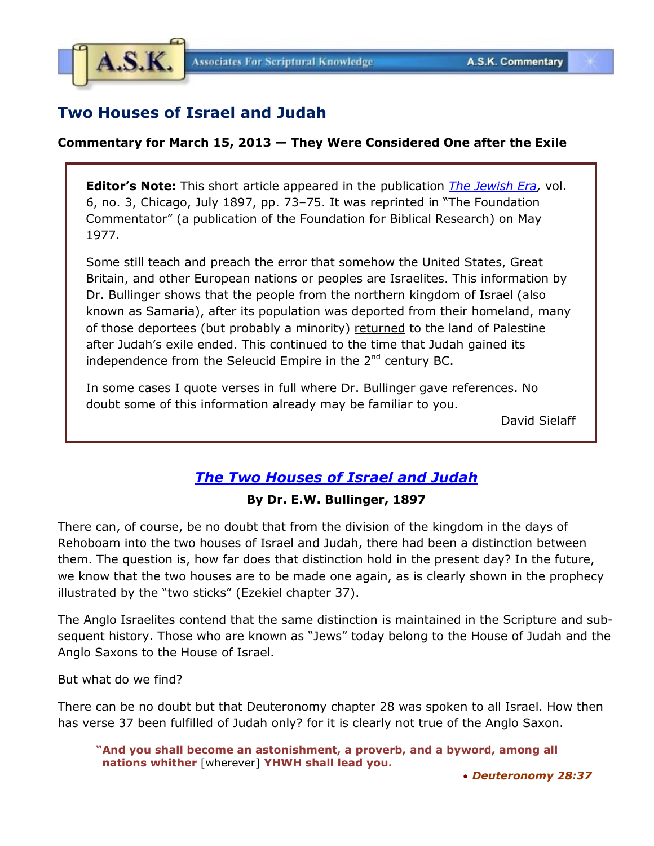

# **Two Houses of Israel and Judah**

#### **Commentary for March 15, 2013 — They Were Considered One after the Exile**

**Editor's Note:** This short article appeared in the publication *[The Jewish Era,](http://books.google.com/books?id=U4AzAQAAMAAJ&pg=PA73&lpg=PA73&dq=bullinger,+%22Two+Houses+of+Israel+and+Judah%22&source=bl&ots=vFZDH11LXn&sig=dq_DuiWhNbsuf_gCn-5O5a_ih8g&hl=en&sa=X&ei=OWM9UabtHYfCqQHykIDICQ&ved=0CDIQ6AEwAQ%23v=onepage&q=bullinger%2C%20%22Two%20Houses%20of%20Israel%20and%20Judah%22&f=false)* vol. 6, no. 3, Chicago, July 1897, pp. 73–75. It was reprinted in "The Foundation Commentator" (a publication of the Foundation for Biblical Research) on May 1977.

Some still teach and preach the error that somehow the United States, Great Britain, and other European nations or peoples are Israelites. This information by Dr. Bullinger shows that the people from the northern kingdom of Israel (also known as Samaria), after its population was deported from their homeland, many of those deportees (but probably a minority) returned to the land of Palestine after Judah's exile ended. This continued to the time that Judah gained its independence from the Seleucid Empire in the  $2<sup>nd</sup>$  century BC.

In some cases I quote verses in full where Dr. Bullinger gave references. No doubt some of this information already may be familiar to you.

David Sielaff

## *[The Two Houses of Israel and Judah](http://books.google.com/books?id=U4AzAQAAMAAJ&pg=PA73&lpg=PA73&dq=bullinger,+%22Two+Houses+of+Israel+and+Judah%22&source=bl&ots=vFZDH11LXn&sig=dq_DuiWhNbsuf_gCn-5O5a_ih8g&hl=en&sa=X&ei=OWM9UabtHYfCqQHykIDICQ&ved=0CDIQ6AEwAQ%23v=onepage&q=bullinger%2C%20%22Two%20Houses%20of%20Israel%20and%20Judah%22&f=false)*

#### **By Dr. E.W. Bullinger, 1897**

There can, of course, be no doubt that from the division of the kingdom in the days of Rehoboam into the two houses of Israel and Judah, there had been a distinction between them. The question is, how far does that distinction hold in the present day? In the future, we know that the two houses are to be made one again, as is clearly shown in the prophecy illustrated by the "two sticks" (Ezekiel chapter 37).

The Anglo Israelites contend that the same distinction is maintained in the Scripture and subsequent history. Those who are known as "Jews" today belong to the House of Judah and the Anglo Saxons to the House of Israel.

But what do we find?

There can be no doubt but that Deuteronomy chapter 28 was spoken to all Israel. How then has verse 37 been fulfilled of Judah only? for it is clearly not true of the Anglo Saxon.

**"And you shall become an astonishment, a proverb, and a byword, among all nations whither** [wherever] **YHWH shall lead you.**

• *Deuteronomy 28:37*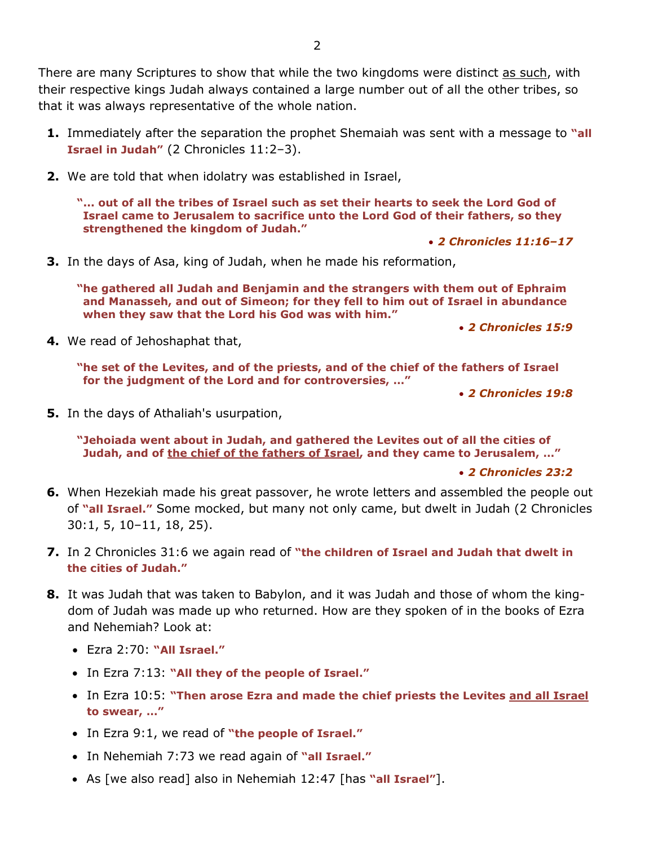There are many Scriptures to show that while the two kingdoms were distinct as such, with their respective kings Judah always contained a large number out of all the other tribes, so that it was always representative of the whole nation.

- **1.** Immediately after the separation the prophet Shemaiah was sent with a message to **"all Israel in Judah"** (2 Chronicles 11:2–3).
- **2.** We are told that when idolatry was established in Israel,

**"... out of all the tribes of Israel such as set their hearts to seek the Lord God of Israel came to Jerusalem to sacrifice unto the Lord God of their fathers, so they strengthened the kingdom of Judah."**

• *2 Chronicles 11:16–17*

**3.** In the days of Asa, king of Judah, when he made his reformation,

**"he gathered all Judah and Benjamin and the strangers with them out of Ephraim and Manasseh, and out of Simeon; for they fell to him out of Israel in abundance when they saw that the Lord his God was with him."** 

• *2 Chronicles 15:9*

**4.** We read of Jehoshaphat that,

**"he set of the Levites, and of the priests, and of the chief of the fathers of Israel for the judgment of the Lord and for controversies, …"**

• *2 Chronicles 19:8*

**5.** In the days of Athaliah's usurpation,

**"Jehoiada went about in Judah, and gathered the Levites out of all the cities of Judah, and of the chief of the fathers of Israel, and they came to Jerusalem, …"**

• *2 Chronicles 23:2*

- **6.** When Hezekiah made his great passover, he wrote letters and assembled the people out of **"all Israel."** Some mocked, but many not only came, but dwelt in Judah (2 Chronicles 30:1, 5, 10–11, 18, 25).
- **7.** In 2 Chronicles 31:6 we again read of **"the children of Israel and Judah that dwelt in the cities of Judah."**
- **8.** It was Judah that was taken to Babylon, and it was Judah and those of whom the kingdom of Judah was made up who returned. How are they spoken of in the books of Ezra and Nehemiah? Look at:
	- Ezra 2:70: **"All Israel."**
	- In Ezra 7:13: **"All they of the people of Israel."**
	- In Ezra 10:5: **"Then arose Ezra and made the chief priests the Levites and all Israel to swear, …"**
	- In Ezra 9:1, we read of **"the people of Israel."**
	- In Nehemiah 7:73 we read again of **"all Israel."**
	- As [we also read] also in Nehemiah 12:47 [has **"all Israel"**].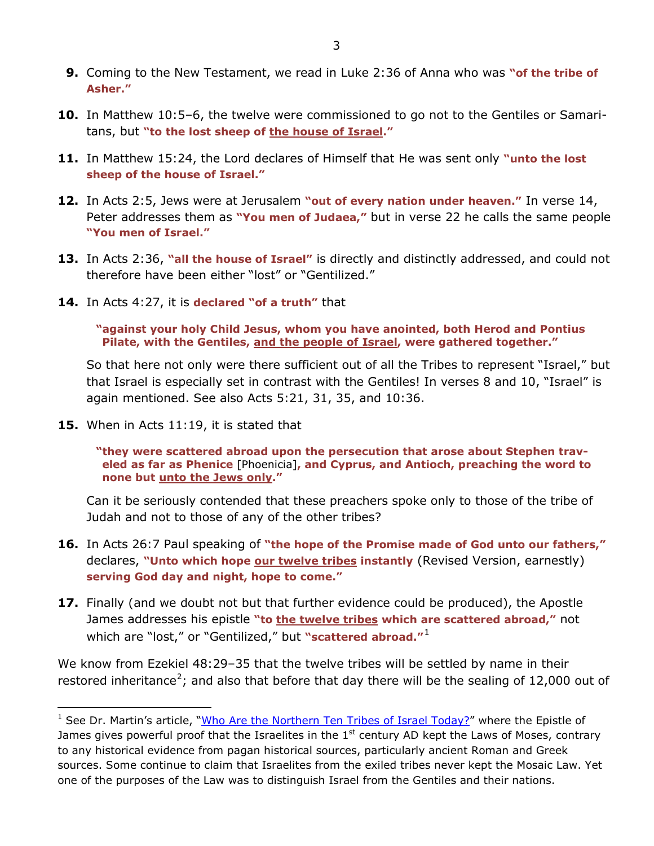- **9.** Coming to the New Testament, we read in Luke 2:36 of Anna who was **"of the tribe of Asher."**
- **10.** In Matthew 10:5–6, the twelve were commissioned to go not to the Gentiles or Samaritans, but **"to the lost sheep of the house of Israel."**
- **11.** In Matthew 15:24, the Lord declares of Himself that He was sent only **"unto the lost sheep of the house of Israel."**
- **12.** In Acts 2:5, Jews were at Jerusalem **"out of every nation under heaven."** In verse 14, Peter addresses them as **"You men of Judaea,"** but in verse 22 he calls the same people **"You men of Israel."**
- **13.** In Acts 2:36, **"all the house of Israel"** is directly and distinctly addressed, and could not therefore have been either "lost" or "Gentilized."
- **14.** In Acts 4:27, it is **declared "of a truth"** that

**"against your holy Child Jesus, whom you have anointed, both Herod and Pontius Pilate, with the Gentiles, and the people of Israel, were gathered together."** 

So that here not only were there sufficient out of all the Tribes to represent "Israel," but that Israel is especially set in contrast with the Gentiles! In verses 8 and 10, "Israel" is again mentioned. See also Acts 5:21, 31, 35, and 10:36.

**15.** When in Acts 11:19, it is stated that

1

**"they were scattered abroad upon the persecution that arose about Stephen traveled as far as Phenice** [Phoenicia]**, and Cyprus, and Antioch, preaching the word to none but unto the Jews only."**

Can it be seriously contended that these preachers spoke only to those of the tribe of Judah and not to those of any of the other tribes?

- **16.** In Acts 26:7 Paul speaking of **"the hope of the Promise made of God unto our fathers,"**  declares, **"Unto which hope our twelve tribes instantly** (Revised Version, earnestly) **serving God day and night, hope to come."**
- <span id="page-2-1"></span>**17.** Finally (and we doubt not but that further evidence could be produced), the Apostle James addresses his epistle **"to the twelve tribes which are scattered abroad,"** not which are "lost," or "Gentilized," but **"scattered abroad."**[1](#page-2-0)

We know from Ezekiel 48:29–35 that the twelve tribes will be settled by name in their restored inheritance<sup>[2](#page-2-1)</sup>; and also that before that day there will be the sealing of 12,000 out of

<span id="page-2-0"></span><sup>&</sup>lt;sup>1</sup> See Dr. Martin's article, ["Who Are the Northern Ten Tribes of Israel Today?"](http://www.askelm.com/prophecy/p900703.htm) where the Epistle of James gives powerful proof that the Israelites in the  $1<sup>st</sup>$  century AD kept the Laws of Moses, contrary to any historical evidence from pagan historical sources, particularly ancient Roman and Greek sources. Some continue to claim that Israelites from the exiled tribes never kept the Mosaic Law. Yet one of the purposes of the Law was to distinguish Israel from the Gentiles and their nations.